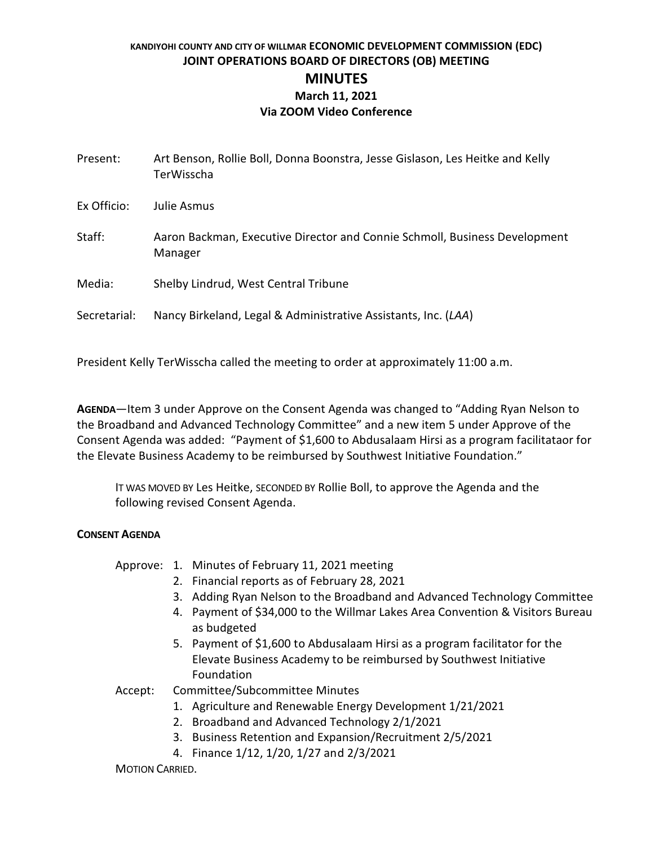# **KANDIYOHI COUNTY AND CITY OF WILLMAR ECONOMIC DEVELOPMENT COMMISSION (EDC) JOINT OPERATIONS BOARD OF DIRECTORS (OB) MEETING MINUTES March 11, 2021 Via ZOOM Video Conference**

| Present:     | Art Benson, Rollie Boll, Donna Boonstra, Jesse Gislason, Les Heitke and Kelly<br>TerWisscha |
|--------------|---------------------------------------------------------------------------------------------|
| Ex Officio:  | Julie Asmus                                                                                 |
| Staff:       | Aaron Backman, Executive Director and Connie Schmoll, Business Development<br>Manager       |
| Media:       | Shelby Lindrud, West Central Tribune                                                        |
| Secretarial: | Nancy Birkeland, Legal & Administrative Assistants, Inc. (LAA)                              |

President Kelly TerWisscha called the meeting to order at approximately 11:00 a.m.

**AGENDA**—Item 3 under Approve on the Consent Agenda was changed to "Adding Ryan Nelson to the Broadband and Advanced Technology Committee" and a new item 5 under Approve of the Consent Agenda was added: "Payment of \$1,600 to Abdusalaam Hirsi as a program facilitataor for the Elevate Business Academy to be reimbursed by Southwest Initiative Foundation."

IT WAS MOVED BY Les Heitke, SECONDED BY Rollie Boll, to approve the Agenda and the following revised Consent Agenda.

# **CONSENT AGENDA**

# Approve: 1. Minutes of February 11, 2021 meeting

- 2. Financial reports as of February 28, 2021
- 3. Adding Ryan Nelson to the Broadband and Advanced Technology Committee
- 4. Payment of \$34,000 to the Willmar Lakes Area Convention & Visitors Bureau as budgeted
- 5. Payment of \$1,600 to Abdusalaam Hirsi as a program facilitator for the Elevate Business Academy to be reimbursed by Southwest Initiative Foundation

Accept: Committee/Subcommittee Minutes

- 1. Agriculture and Renewable Energy Development 1/21/2021
- 2. Broadband and Advanced Technology 2/1/2021
- 3. Business Retention and Expansion/Recruitment 2/5/2021
- 4. Finance 1/12, 1/20, 1/27 and 2/3/2021

MOTION CARRIED.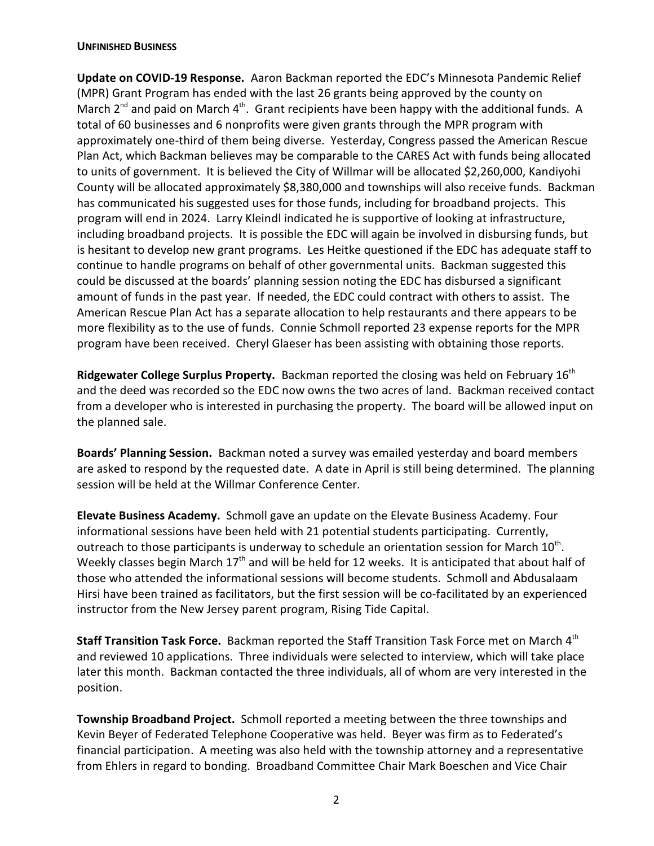#### **UNFINISHED BUSINESS**

**Update on COVID-19 Response.** Aaron Backman reported the EDC's Minnesota Pandemic Relief (MPR) Grant Program has ended with the last 26 grants being approved by the county on March  $2^{nd}$  and paid on March  $4^{th}$ . Grant recipients have been happy with the additional funds. A total of 60 businesses and 6 nonprofits were given grants through the MPR program with approximately one-third of them being diverse. Yesterday, Congress passed the American Rescue Plan Act, which Backman believes may be comparable to the CARES Act with funds being allocated to units of government. It is believed the City of Willmar will be allocated \$2,260,000, Kandiyohi County will be allocated approximately \$8,380,000 and townships will also receive funds. Backman has communicated his suggested uses for those funds, including for broadband projects. This program will end in 2024. Larry Kleindl indicated he is supportive of looking at infrastructure, including broadband projects. It is possible the EDC will again be involved in disbursing funds, but is hesitant to develop new grant programs. Les Heitke questioned if the EDC has adequate staff to continue to handle programs on behalf of other governmental units. Backman suggested this could be discussed at the boards' planning session noting the EDC has disbursed a significant amount of funds in the past year. If needed, the EDC could contract with others to assist. The American Rescue Plan Act has a separate allocation to help restaurants and there appears to be more flexibility as to the use of funds. Connie Schmoll reported 23 expense reports for the MPR program have been received. Cheryl Glaeser has been assisting with obtaining those reports.

**Ridgewater College Surplus Property.** Backman reported the closing was held on February 16th and the deed was recorded so the EDC now owns the two acres of land. Backman received contact from a developer who is interested in purchasing the property. The board will be allowed input on the planned sale.

**Boards' Planning Session.** Backman noted a survey was emailed yesterday and board members are asked to respond by the requested date. A date in April is still being determined. The planning session will be held at the Willmar Conference Center.

**Elevate Business Academy.** Schmoll gave an update on the Elevate Business Academy. Four informational sessions have been held with 21 potential students participating. Currently, outreach to those participants is underway to schedule an orientation session for March  $10^{\text{th}}$ . Weekly classes begin March  $17<sup>th</sup>$  and will be held for 12 weeks. It is anticipated that about half of those who attended the informational sessions will become students. Schmoll and Abdusalaam Hirsi have been trained as facilitators, but the first session will be co-facilitated by an experienced instructor from the New Jersey parent program, Rising Tide Capital.

**Staff Transition Task Force.** Backman reported the Staff Transition Task Force met on March 4<sup>th</sup> and reviewed 10 applications. Three individuals were selected to interview, which will take place later this month. Backman contacted the three individuals, all of whom are very interested in the position.

**Township Broadband Project.** Schmoll reported a meeting between the three townships and Kevin Beyer of Federated Telephone Cooperative was held. Beyer was firm as to Federated's financial participation. A meeting was also held with the township attorney and a representative from Ehlers in regard to bonding. Broadband Committee Chair Mark Boeschen and Vice Chair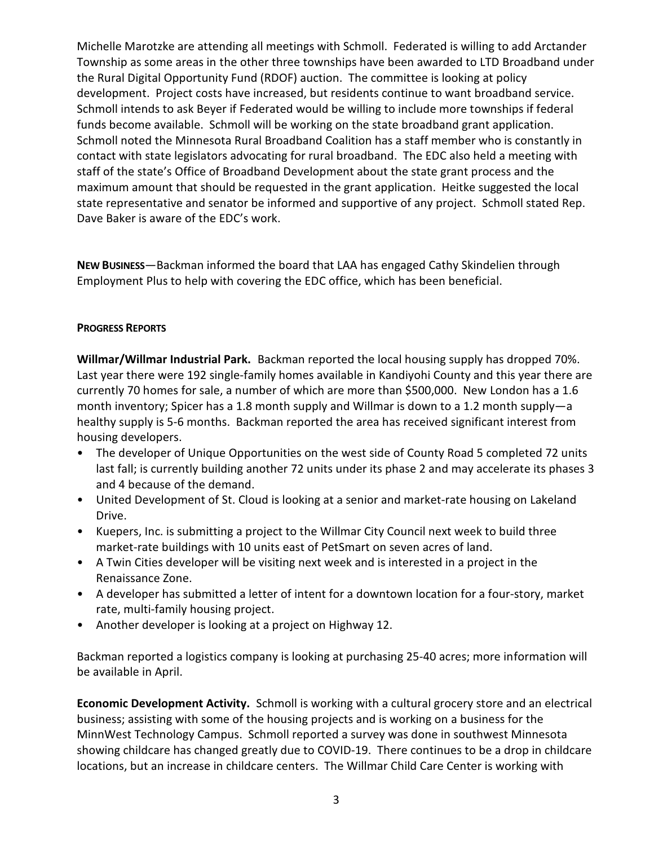Michelle Marotzke are attending all meetings with Schmoll. Federated is willing to add Arctander Township as some areas in the other three townships have been awarded to LTD Broadband under the Rural Digital Opportunity Fund (RDOF) auction. The committee is looking at policy development. Project costs have increased, but residents continue to want broadband service. Schmoll intends to ask Beyer if Federated would be willing to include more townships if federal funds become available. Schmoll will be working on the state broadband grant application. Schmoll noted the Minnesota Rural Broadband Coalition has a staff member who is constantly in contact with state legislators advocating for rural broadband. The EDC also held a meeting with staff of the state's Office of Broadband Development about the state grant process and the maximum amount that should be requested in the grant application. Heitke suggested the local state representative and senator be informed and supportive of any project. Schmoll stated Rep. Dave Baker is aware of the EDC's work.

**NEW BUSINESS**—Backman informed the board that LAA has engaged Cathy Skindelien through Employment Plus to help with covering the EDC office, which has been beneficial.

# **PROGRESS REPORTS**

**Willmar/Willmar Industrial Park.** Backman reported the local housing supply has dropped 70%. Last year there were 192 single-family homes available in Kandiyohi County and this year there are currently 70 homes for sale, a number of which are more than \$500,000. New London has a 1.6 month inventory; Spicer has a 1.8 month supply and Willmar is down to a 1.2 month supply—a healthy supply is 5-6 months. Backman reported the area has received significant interest from housing developers.

- The developer of Unique Opportunities on the west side of County Road 5 completed 72 units last fall; is currently building another 72 units under its phase 2 and may accelerate its phases 3 and 4 because of the demand.
- United Development of St. Cloud is looking at a senior and market-rate housing on Lakeland Drive.
- Kuepers, Inc. is submitting a project to the Willmar City Council next week to build three market-rate buildings with 10 units east of PetSmart on seven acres of land.
- A Twin Cities developer will be visiting next week and is interested in a project in the Renaissance Zone.
- A developer has submitted a letter of intent for a downtown location for a four-story, market rate, multi-family housing project.
- Another developer is looking at a project on Highway 12.

Backman reported a logistics company is looking at purchasing 25-40 acres; more information will be available in April.

**Economic Development Activity.** Schmoll is working with a cultural grocery store and an electrical business; assisting with some of the housing projects and is working on a business for the MinnWest Technology Campus. Schmoll reported a survey was done in southwest Minnesota showing childcare has changed greatly due to COVID-19. There continues to be a drop in childcare locations, but an increase in childcare centers. The Willmar Child Care Center is working with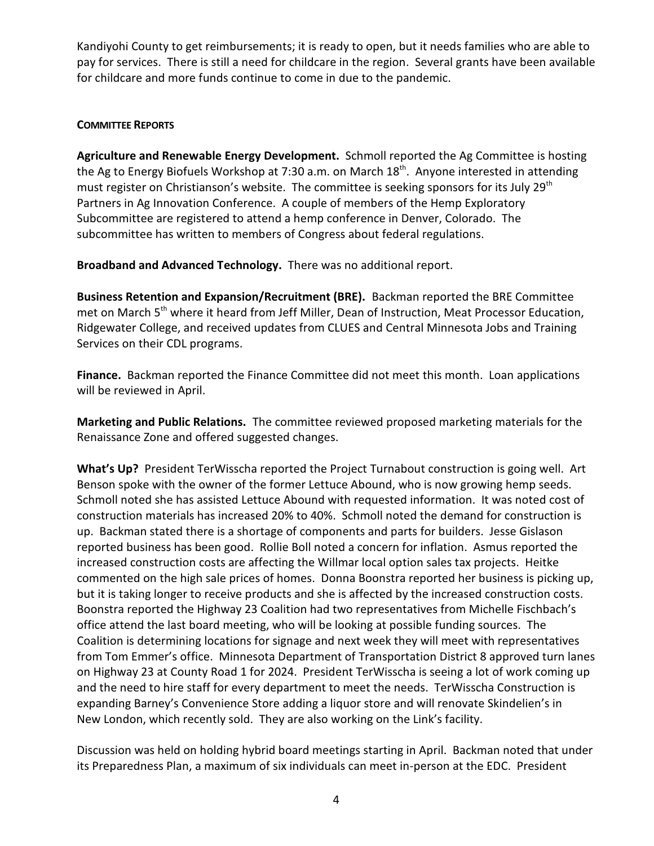Kandiyohi County to get reimbursements; it is ready to open, but it needs families who are able to pay for services. There is still a need for childcare in the region. Several grants have been available for childcare and more funds continue to come in due to the pandemic.

# **COMMITTEE REPORTS**

**Agriculture and Renewable Energy Development.** Schmoll reported the Ag Committee is hosting the Ag to Energy Biofuels Workshop at 7:30 a.m. on March 18<sup>th</sup>. Anyone interested in attending must register on Christianson's website. The committee is seeking sponsors for its July 29<sup>th</sup> Partners in Ag Innovation Conference. A couple of members of the Hemp Exploratory Subcommittee are registered to attend a hemp conference in Denver, Colorado. The subcommittee has written to members of Congress about federal regulations.

**Broadband and Advanced Technology.** There was no additional report.

**Business Retention and Expansion/Recruitment (BRE).** Backman reported the BRE Committee met on March 5<sup>th</sup> where it heard from Jeff Miller, Dean of Instruction, Meat Processor Education, Ridgewater College, and received updates from CLUES and Central Minnesota Jobs and Training Services on their CDL programs.

**Finance.** Backman reported the Finance Committee did not meet this month. Loan applications will be reviewed in April.

**Marketing and Public Relations.** The committee reviewed proposed marketing materials for the Renaissance Zone and offered suggested changes.

**What's Up?** President TerWisscha reported the Project Turnabout construction is going well. Art Benson spoke with the owner of the former Lettuce Abound, who is now growing hemp seeds. Schmoll noted she has assisted Lettuce Abound with requested information. It was noted cost of construction materials has increased 20% to 40%. Schmoll noted the demand for construction is up. Backman stated there is a shortage of components and parts for builders. Jesse Gislason reported business has been good. Rollie Boll noted a concern for inflation. Asmus reported the increased construction costs are affecting the Willmar local option sales tax projects. Heitke commented on the high sale prices of homes. Donna Boonstra reported her business is picking up, but it is taking longer to receive products and she is affected by the increased construction costs. Boonstra reported the Highway 23 Coalition had two representatives from Michelle Fischbach's office attend the last board meeting, who will be looking at possible funding sources. The Coalition is determining locations for signage and next week they will meet with representatives from Tom Emmer's office. Minnesota Department of Transportation District 8 approved turn lanes on Highway 23 at County Road 1 for 2024. President TerWisscha is seeing a lot of work coming up and the need to hire staff for every department to meet the needs. TerWisscha Construction is expanding Barney's Convenience Store adding a liquor store and will renovate Skindelien's in New London, which recently sold. They are also working on the Link's facility.

Discussion was held on holding hybrid board meetings starting in April. Backman noted that under its Preparedness Plan, a maximum of six individuals can meet in-person at the EDC. President